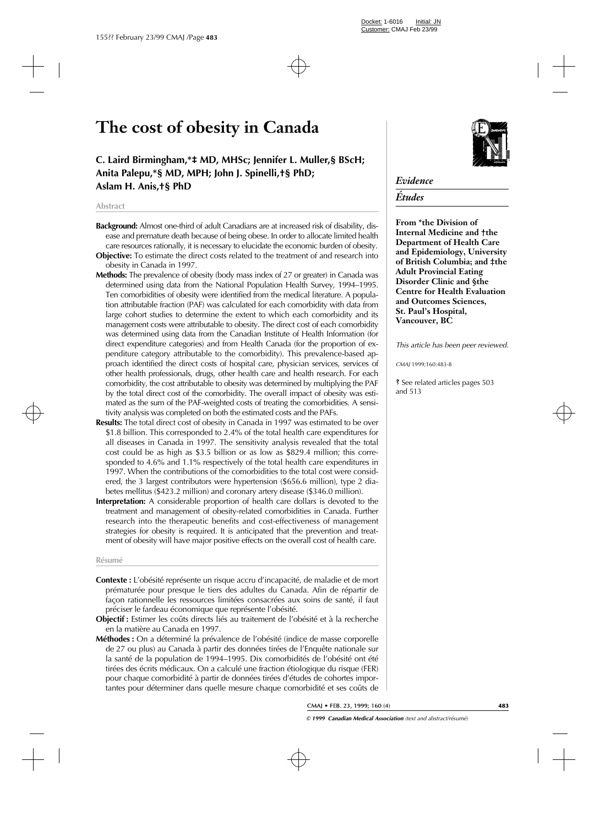# **The cost of obesity in Canada**

**C. Laird Birmingham,\*‡ MD, MHSc; Jennifer L. Muller,§ BScH; Anita Palepu,\*§ MD, MPH; John J. Spinelli,†§ PhD; Aslam H. Anis,†§ PhD**

#### **Abstract**

- **Background:** Almost one-third of adult Canadians are at increased risk of disability, disease and premature death because of being obese. In order to allocate limited health care resources rationally, it is necessary to elucidate the economic burden of obesity. **Objective:** To estimate the direct costs related to the treatment of and research into
- obesity in Canada in 1997.
- **Methods:** The prevalence of obesity (body mass index of 27 or greater) in Canada was determined using data from the National Population Health Survey, 1994–1995. Ten comorbidities of obesity were identified from the medical literature. A population attributable fraction (PAF) was calculated for each comorbidity with data from large cohort studies to determine the extent to which each comorbidity and its management costs were attributable to obesity. The direct cost of each comorbidity was determined using data from the Canadian Institute of Health Information (for direct expenditure categories) and from Health Canada (for the proportion of expenditure category attributable to the comorbidity). This prevalence-based approach identified the direct costs of hospital care, physician services, services of other health professionals, drugs, other health care and health research. For each comorbidity, the cost attributable to obesity was determined by multiplying the PAF by the total direct cost of the comorbidity. The overall impact of obesity was estimated as the sum of the PAF-weighted costs of treating the comorbidities. A sensitivity analysis was completed on both the estimated costs and the PAFs.
- **Results:** The total direct cost of obesity in Canada in 1997 was estimated to be over \$1.8 billion. This corresponded to 2.4% of the total health care expenditures for all diseases in Canada in 1997. The sensitivity analysis revealed that the total cost could be as high as \$3.5 billion or as low as \$829.4 million; this corresponded to 4.6% and 1.1% respectively of the total health care expenditures in 1997. When the contributions of the comorbidities to the total cost were considered, the 3 largest contributors were hypertension (\$656.6 million), type 2 diabetes mellitus (\$423.2 million) and coronary artery disease (\$346.0 million).
- **Interpretation:** A considerable proportion of health care dollars is devoted to the treatment and management of obesity-related comorbidities in Canada. Further research into the therapeutic benefits and cost-effectiveness of management strategies for obesity is required. It is anticipated that the prevention and treatment of obesity will have major positive effects on the overall cost of health care.

#### **Résumé**

- **Contexte :** L'obésité représente un risque accru d'incapacité, de maladie et de mort prématurée pour presque le tiers des adultes du Canada. Afin de répartir de façon rationnelle les ressources limitées consacrées aux soins de santé, il faut préciser le fardeau économique que représente l'obésité.
- **Objectif :** Estimer les coûts directs liés au traitement de l'obésité et à la recherche en la matière au Canada en 1997.
- **Méthodes :** On a déterminé la prévalence de l'obésité (indice de masse corporelle de 27 ou plus) au Canada à partir des données tirées de l'Enquête nationale sur la santé de la population de 1994–1995. Dix comorbidités de l'obésité ont été tirées des écrits médicaux. On a calculé une fraction étiologique du risque (FER) pour chaque comorbidité à partir de données tirées d'études de cohortes importantes pour déterminer dans quelle mesure chaque comorbidité et ses coûts de



# *Evidence*

# *Études*

**From \*the Division of Internal Medicine and †the Department of Health Care and Epidemiology, University of British Columbia; and ‡the Adult Provincial Eating Disorder Clinic and §the Centre for Health Evaluation and Outcomes Sciences, St. Paul's Hospital, Vancouver, BC**

*This article has been peer reviewed.*

*CMAJ* 1999;160:483-8

ß See related articles pages 503 and 513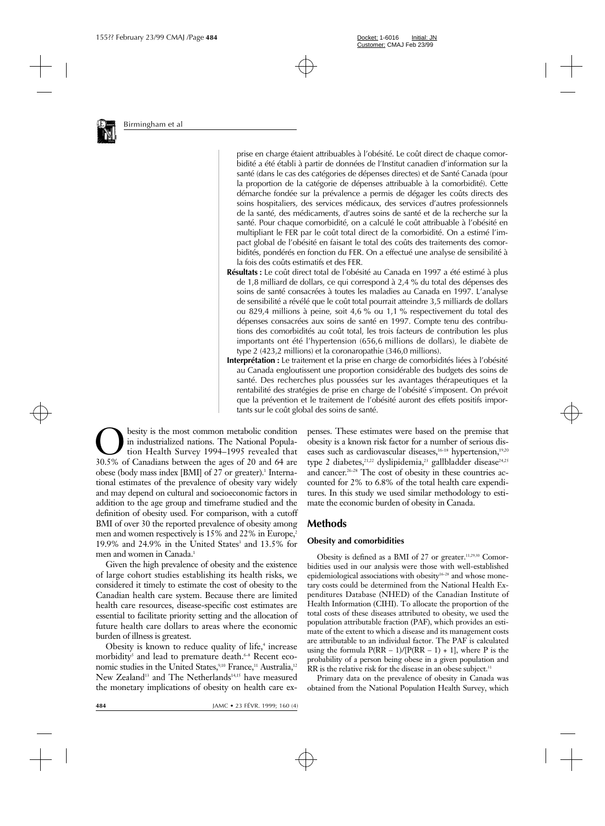

prise en charge étaient attribuables à l'obésité. Le coût direct de chaque comorbidité a été établi à partir de données de l'Institut canadien d'information sur la santé (dans le cas des catégories de dépenses directes) et de Santé Canada (pour la proportion de la catégorie de dépenses attribuable à la comorbidité). Cette démarche fondée sur la prévalence a permis de dégager les coûts directs des soins hospitaliers, des services médicaux, des services d'autres professionnels de la santé, des médicaments, d'autres soins de santé et de la recherche sur la santé. Pour chaque comorbidité, on a calculé le coût attribuable à l'obésité en multipliant le FER par le coût total direct de la comorbidité. On a estimé l'impact global de l'obésité en faisant le total des coûts des traitements des comorbidités, pondérés en fonction du FER. On a effectué une analyse de sensibilité à la fois des coûts estimatifs et des FER.

- **Résultats :** Le coût direct total de l'obésité au Canada en 1997 a été estimé à plus de 1,8 milliard de dollars, ce qui correspond à 2,4 % du total des dépenses des soins de santé consacrées à toutes les maladies au Canada en 1997. L'analyse de sensibilité a révélé que le coût total pourrait atteindre 3,5 milliards de dollars ou 829,4 millions à peine, soit 4,6 % ou 1,1 % respectivement du total des dépenses consacrées aux soins de santé en 1997. Compte tenu des contributions des comorbidités au coût total, les trois facteurs de contribution les plus importants ont été l'hypertension (656,6 millions de dollars), le diabète de type 2 (423,2 millions) et la coronaropathie (346,0 millions).
- **Interprétation :** Le traitement et la prise en charge de comorbidités liées à l'obésité au Canada engloutissent une proportion considérable des budgets des soins de santé. Des recherches plus poussées sur les avantages thérapeutiques et la rentabilité des stratégies de prise en charge de l'obésité s'imposent. On prévoit que la prévention et le traitement de l'obésité auront des effets positifs importants sur le coût global des soins de santé.

**O** besity is the most common metabolic condition<br>in industrialized nations. The National Popula-<br>30.5% of Canadians between the ages of 20 and 64 are in industrialized nations. The National Population Health Survey 1994–1995 revealed that 30.5% of Canadians between the ages of 20 and 64 are obese (body mass index [BMI] of 27 or greater).<sup>1</sup> International estimates of the prevalence of obesity vary widely and may depend on cultural and socioeconomic factors in addition to the age group and timeframe studied and the definition of obesity used. For comparison, with a cutoff BMI of over 30 the reported prevalence of obesity among men and women respectively is 15% and 22% in Europe, 19.9% and 24.9% in the United States<sup>3</sup> and 13.5% for men and women in Canada.<sup>1</sup>

Given the high prevalence of obesity and the existence of large cohort studies establishing its health risks, we considered it timely to estimate the cost of obesity to the Canadian health care system. Because there are limited health care resources, disease-specific cost estimates are essential to facilitate priority setting and the allocation of future health care dollars to areas where the economic burden of illness is greatest.

Obesity is known to reduce quality of life,<sup>4</sup> increase morbidity<sup>5</sup> and lead to premature death.<sup>6-8</sup> Recent economic studies in the United States,<sup>9,10</sup> France,<sup>11</sup> Australia,<sup>12</sup> New Zealand<sup>13</sup> and The Netherlands<sup>14,15</sup> have measured the monetary implications of obesity on health care expenses. These estimates were based on the premise that obesity is a known risk factor for a number of serious diseases such as cardiovascular diseases, $16-18$  hypertension, $19,20$ type 2 diabetes,<sup>21,22</sup> dyslipidemia,<sup>23</sup> gallbladder disease<sup>24,25</sup> and cancer.26–28 The cost of obesity in these countries accounted for 2% to 6.8% of the total health care expenditures. In this study we used similar methodology to estimate the economic burden of obesity in Canada.

# **Methods**

#### **Obesity and comorbidities**

Obesity is defined as a BMI of 27 or greater.<sup>11,29,30</sup> Comorbidities used in our analysis were those with well-established epidemiological associations with obesity<sup>16-28</sup> and whose monetary costs could be determined from the National Health Expenditures Database (NHED) of the Canadian Institute of Health Information (CIHI). To allocate the proportion of the total costs of these diseases attributed to obesity, we used the population attributable fraction (PAF), which provides an estimate of the extent to which a disease and its management costs are attributable to an individual factor. The PAF is calculated using the formula  $P(RR - 1)/[P(RR - 1) + 1]$ , where P is the probability of a person being obese in a given population and RR is the relative risk for the disease in an obese subject.<sup>31</sup>

Primary data on the prevalence of obesity in Canada was obtained from the National Population Health Survey, which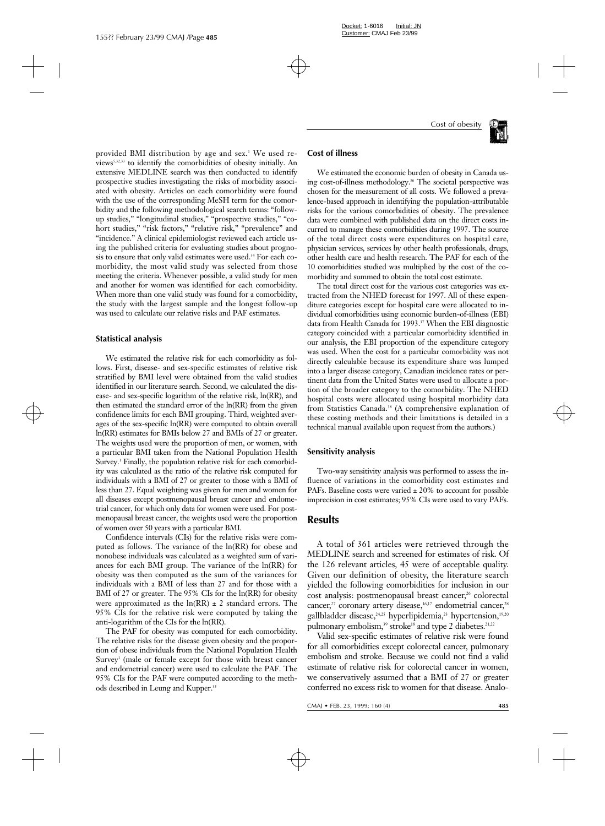

provided BMI distribution by age and sex.<sup>1</sup> We used reviews5,32,33 to identify the comorbidities of obesity initially. An extensive MEDLINE search was then conducted to identify prospective studies investigating the risks of morbidity associated with obesity. Articles on each comorbidity were found with the use of the corresponding MeSH term for the comorbidity and the following methodological search terms: "followup studies," "longitudinal studies," "prospective studies," "cohort studies," "risk factors," "relative risk," "prevalence" and "incidence." A clinical epidemiologist reviewed each article using the published criteria for evaluating studies about prognosis to ensure that only valid estimates were used.<sup>34</sup> For each comorbidity, the most valid study was selected from those meeting the criteria. Whenever possible, a valid study for men and another for women was identified for each comorbidity. When more than one valid study was found for a comorbidity, the study with the largest sample and the longest follow-up was used to calculate our relative risks and PAF estimates.

#### **Statistical analysis**

We estimated the relative risk for each comorbidity as follows. First, disease- and sex-specific estimates of relative risk stratified by BMI level were obtained from the valid studies identified in our literature search. Second, we calculated the disease- and sex-specific logarithm of the relative risk, ln(RR), and then estimated the standard error of the ln(RR) from the given confidence limits for each BMI grouping. Third, weighted averages of the sex-specific ln(RR) were computed to obtain overall ln(RR) estimates for BMIs below 27 and BMIs of 27 or greater. The weights used were the proportion of men, or women, with a particular BMI taken from the National Population Health Survey.<sup>1</sup> Finally, the population relative risk for each comorbidity was calculated as the ratio of the relative risk computed for individuals with a BMI of 27 or greater to those with a BMI of less than 27. Equal weighting was given for men and women for all diseases except postmenopausal breast cancer and endometrial cancer, for which only data for women were used. For postmenopausal breast cancer, the weights used were the proportion of women over 50 years with a particular BMI.

Confidence intervals (CIs) for the relative risks were computed as follows. The variance of the ln(RR) for obese and nonobese individuals was calculated as a weighted sum of variances for each BMI group. The variance of the ln(RR) for obesity was then computed as the sum of the variances for individuals with a BMI of less than 27 and for those with a BMI of 27 or greater. The 95% CIs for the  $ln(RR)$  for obesity were approximated as the  $ln(RR) \pm 2$  standard errors. The 95% CIs for the relative risk were computed by taking the anti-logarithm of the CIs for the ln(RR).

The PAF for obesity was computed for each comorbidity. The relative risks for the disease given obesity and the proportion of obese individuals from the National Population Health Survey<sup>1</sup> (male or female except for those with breast cancer and endometrial cancer) were used to calculate the PAF. The 95% CIs for the PAF were computed according to the methods described in Leung and Kupper.<sup>35</sup>

#### **Cost of illness**

We estimated the economic burden of obesity in Canada using cost-of-illness methodology.<sup>36</sup> The societal perspective was chosen for the measurement of all costs. We followed a prevalence-based approach in identifying the population-attributable risks for the various comorbidities of obesity. The prevalence data were combined with published data on the direct costs incurred to manage these comorbidities during 1997. The source of the total direct costs were expenditures on hospital care, physician services, services by other health professionals, drugs, other health care and health research. The PAF for each of the 10 comorbidities studied was multiplied by the cost of the comorbidity and summed to obtain the total cost estimate.

The total direct cost for the various cost categories was extracted from the NHED forecast for 1997. All of these expenditure categories except for hospital care were allocated to individual comorbidities using economic burden-of-illness (EBI) data from Health Canada for 1993.<sup>37</sup> When the EBI diagnostic category coincided with a particular comorbidity identified in our analysis, the EBI proportion of the expenditure category was used. When the cost for a particular comorbidity was not directly calculable because its expenditure share was lumped into a larger disease category, Canadian incidence rates or pertinent data from the United States were used to allocate a portion of the broader category to the comorbidity. The NHED hospital costs were allocated using hospital morbidity data from Statistics Canada.<sup>38</sup> (A comprehensive explanation of these costing methods and their limitations is detailed in a technical manual available upon request from the authors.)

#### **Sensitivity analysis**

Two-way sensitivity analysis was performed to assess the influence of variations in the comorbidity cost estimates and PAFs. Baseline costs were varied  $\pm$  20% to account for possible imprecision in cost estimates; 95% CIs were used to vary PAFs.

### **Results**

A total of 361 articles were retrieved through the MEDLINE search and screened for estimates of risk. Of the 126 relevant articles, 45 were of acceptable quality. Given our definition of obesity, the literature search yielded the following comorbidities for inclusion in our cost analysis: postmenopausal breast cancer,<sup>26</sup> colorectal cancer,<sup>27</sup> coronary artery disease,<sup>16,17</sup> endometrial cancer,<sup>28</sup> gallbladder disease,<sup>24,25</sup> hyperlipidemia,<sup>23</sup> hypertension,<sup>19,20</sup> pulmonary embolism,<sup>39</sup> stroke<sup>18</sup> and type 2 diabetes.<sup>21,22</sup>

Valid sex-specific estimates of relative risk were found for all comorbidities except colorectal cancer, pulmonary embolism and stroke. Because we could not find a valid estimate of relative risk for colorectal cancer in women, we conservatively assumed that a BMI of 27 or greater conferred no excess risk to women for that disease. Analo-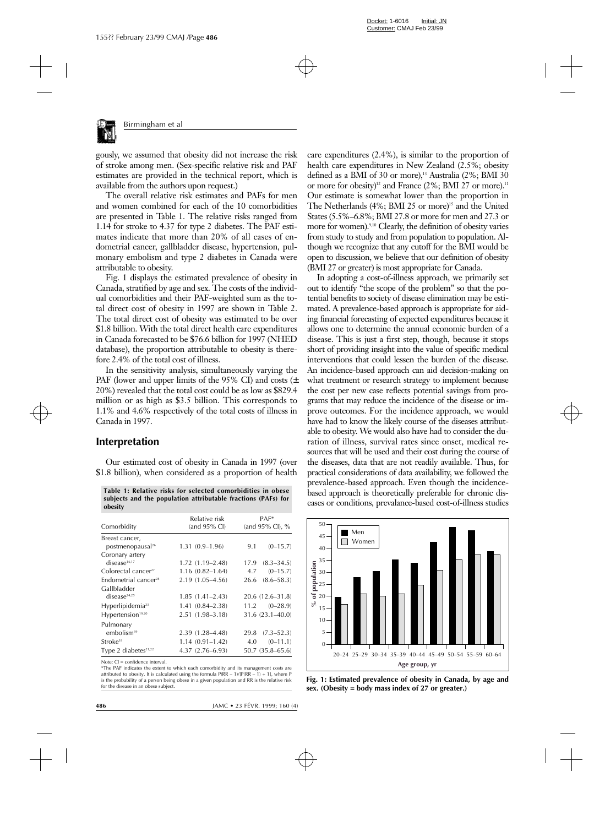

The overall relative risk estimates and PAFs for men and women combined for each of the 10 comorbidities are presented in Table 1. The relative risks ranged from 1.14 for stroke to 4.37 for type 2 diabetes. The PAF estimates indicate that more than 20% of all cases of endometrial cancer, gallbladder disease, hypertension, pulmonary embolism and type 2 diabetes in Canada were attributable to obesity.

Fig. 1 displays the estimated prevalence of obesity in Canada, stratified by age and sex. The costs of the individual comorbidities and their PAF-weighted sum as the total direct cost of obesity in 1997 are shown in Table 2. The total direct cost of obesity was estimated to be over \$1.8 billion. With the total direct health care expenditures in Canada forecasted to be \$76.6 billion for 1997 (NHED database), the proportion attributable to obesity is therefore 2.4% of the total cost of illness.

In the sensitivity analysis, simultaneously varying the PAF (lower and upper limits of the 95% CI) and costs ( $\pm$ 20%) revealed that the total cost could be as low as \$829.4 million or as high as \$3.5 billion. This corresponds to 1.1% and 4.6% respectively of the total costs of illness in Canada in 1997.

# **Interpretation**

Our estimated cost of obesity in Canada in 1997 (over \$1.8 billion), when considered as a proportion of health

|         |  |  | Table 1: Relative risks for selected comorbidities in obese   |
|---------|--|--|---------------------------------------------------------------|
|         |  |  | subjects and the population attributable fractions (PAFs) for |
| obesity |  |  |                                                               |

| Comorbidity                                    | Relative risk<br>(and $95\%$ CI) | $PAF*$<br>(and $95\%$ CI), $\%$ |  |  |
|------------------------------------------------|----------------------------------|---------------------------------|--|--|
| Breast cancer,<br>postmenopausal <sup>26</sup> | $1.31(0.9-1.96)$                 | $(0-15.7)$<br>9.1               |  |  |
| Coronary artery<br>disease <sup>16,17</sup>    | $1.72(1.19 - 2.48)$              | $(8.3 - 34.5)$<br>17.9          |  |  |
| Colorectal cancer <sup>27</sup>                | $1.16(0.82 - 1.64)$              | $(0-15.7)$<br>4.7               |  |  |
| Endometrial cancer <sup>28</sup>               | 2.19 (1.05-4.56)                 | $(8.6 - 58.3)$<br>26.6          |  |  |
| Gallbladder<br>disease <sup>24,25</sup>        | $1.85(1.41 - 2.43)$              | $20.6(12.6-31.8)$               |  |  |
| Hyperlipidemia <sup>23</sup>                   | $1.41(0.84 - 2.38)$              | $11.2 \t (0-28.9)$              |  |  |
| Hypertension <sup>19,20</sup>                  | $2.51(1.98 - 3.18)$              | 31.6 (23.1-40.0)                |  |  |
| Pulmonary<br>embolism <sup>39</sup>            | 2.39 (1.28-4.48)                 | $29.8$ $(7.3-52.3)$             |  |  |
| Stroke <sup>18</sup>                           | $1.14(0.91 - 1.42)$              | $(0-11.1)$<br>4.0               |  |  |
| Type 2 diabetes <sup>21,22</sup>               | $4.37(2.76 - 6.93)$              | $50.7(35.8 - 65.6)$             |  |  |

Note: CI = confidence interval.

\*The PAF indicates the extent to which each comorbidity and its management costs are attributed to obesity. It is calculated using the formula  $P(RR - 1)/[P(RR - 1) + 1]$ , where P is the probability of a person being obese in a given population and RR is the relative risk for the disease in an obese subject.

care expenditures (2.4%), is similar to the proportion of health care expenditures in New Zealand (2.5%; obesity defined as a BMI of 30 or more),<sup>13</sup> Australia (2%; BMI 30 or more for obesity)<sup>12</sup> and France  $(2\%; BMI 27)$  or more).<sup>11</sup> Our estimate is somewhat lower than the proportion in The Netherlands (4%; BMI 25 or more)<sup>15</sup> and the United States (5.5%–6.8%; BMI 27.8 or more for men and 27.3 or more for women).<sup>9,10</sup> Clearly, the definition of obesity varies from study to study and from population to population. Although we recognize that any cutoff for the BMI would be open to discussion, we believe that our definition of obesity (BMI 27 or greater) is most appropriate for Canada.

In adopting a cost-of-illness approach, we primarily set out to identify "the scope of the problem" so that the potential benefits to society of disease elimination may be estimated. A prevalence-based approach is appropriate for aiding financial forecasting of expected expenditures because it allows one to determine the annual economic burden of a disease. This is just a first step, though, because it stops short of providing insight into the value of specific medical interventions that could lessen the burden of the disease. An incidence-based approach can aid decision-making on what treatment or research strategy to implement because the cost per new case reflects potential savings from programs that may reduce the incidence of the disease or improve outcomes. For the incidence approach, we would have had to know the likely course of the diseases attributable to obesity. We would also have had to consider the duration of illness, survival rates since onset, medical resources that will be used and their cost during the course of the diseases, data that are not readily available. Thus, for practical considerations of data availability, we followed the prevalence-based approach. Even though the incidencebased approach is theoretically preferable for chronic diseases or conditions, prevalance-based cost-of-illness studies



**Fig. 1: Estimated prevalence of obesity in Canada, by age and sex. (Obesity = body mass index of 27 or greater.)**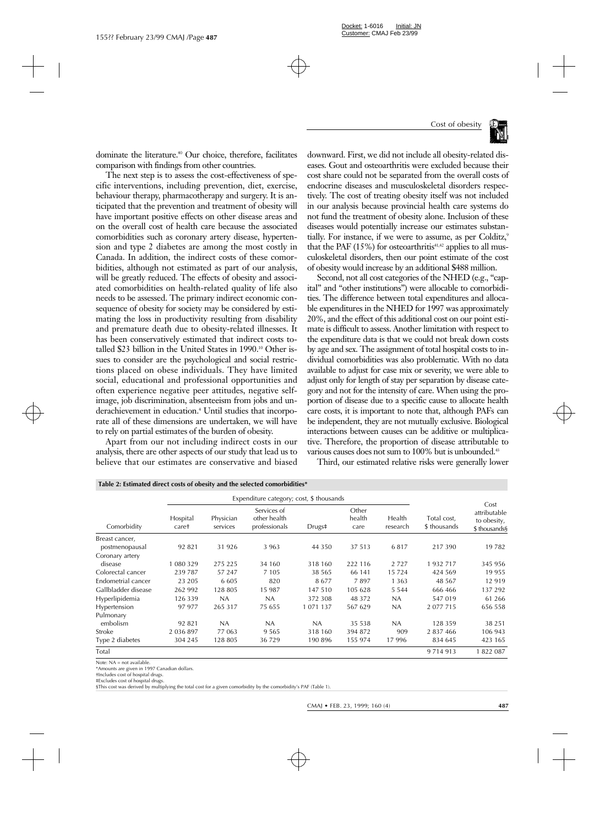

dominate the literature.40 Our choice, therefore, facilitates comparison with findings from other countries.

The next step is to assess the cost-effectiveness of specific interventions, including prevention, diet, exercise, behaviour therapy, pharmacotherapy and surgery. It is anticipated that the prevention and treatment of obesity will have important positive effects on other disease areas and on the overall cost of health care because the associated comorbidities such as coronary artery disease, hypertension and type 2 diabetes are among the most costly in Canada. In addition, the indirect costs of these comorbidities, although not estimated as part of our analysis, will be greatly reduced. The effects of obesity and associated comorbidities on health-related quality of life also needs to be assessed. The primary indirect economic consequence of obesity for society may be considered by estimating the loss in productivity resulting from disability and premature death due to obesity-related illnesses. It has been conservatively estimated that indirect costs totalled \$23 billion in the United States in 1990.<sup>10</sup> Other issues to consider are the psychological and social restrictions placed on obese individuals. They have limited social, educational and professional opportunities and often experience negative peer attitudes, negative selfimage, job discrimination, absenteeism from jobs and underachievement in education.<sup>4</sup> Until studies that incorporate all of these dimensions are undertaken, we will have to rely on partial estimates of the burden of obesity.

Apart from our not including indirect costs in our analysis, there are other aspects of our study that lead us to believe that our estimates are conservative and biased

**Table 2: Estimated direct costs of obesity and the selected comorbidities\***

downward. First, we did not include all obesity-related diseases. Gout and osteoarthritis were excluded because their cost share could not be separated from the overall costs of endocrine diseases and musculoskeletal disorders respectively. The cost of treating obesity itself was not included in our analysis because provincial health care systems do not fund the treatment of obesity alone. Inclusion of these diseases would potentially increase our estimates substantially. For instance, if we were to assume, as per Colditz,<sup>9</sup> that the PAF  $(15\%)$  for osteoarthritis<sup>41,42</sup> applies to all musculoskeletal disorders, then our point estimate of the cost of obesity would increase by an additional \$488 million.

Second, not all cost categories of the NHED (e.g., "capital" and "other institutions") were allocable to comorbidities. The difference between total expenditures and allocable expenditures in the NHED for 1997 was approximately 20%, and the effect of this additional cost on our point estimate is difficult to assess. Another limitation with respect to the expenditure data is that we could not break down costs by age and sex. The assignment of total hospital costs to individual comorbidities was also problematic. With no data available to adjust for case mix or severity, we were able to adjust only for length of stay per separation by disease category and not for the intensity of care. When using the proportion of disease due to a specific cause to allocate health care costs, it is important to note that, although PAFs can be independent, they are not mutually exclusive. Biological interactions between causes can be additive or multiplicative. Therefore, the proportion of disease attributable to various causes does not sum to 100% but is unbounded.<sup>43</sup>

Third, our estimated relative risks were generally lower

|                     | Expenditure category; cost, \$ thousands |                       |                                              |               |                         |                    |                             |                                                      |
|---------------------|------------------------------------------|-----------------------|----------------------------------------------|---------------|-------------------------|--------------------|-----------------------------|------------------------------------------------------|
| Comorbidity         | Hospital<br>caret                        | Physician<br>services | Services of<br>other health<br>professionals | Drugs‡        | Other<br>health<br>care | Health<br>research | Total cost,<br>\$ thousands | Cost<br>attributable<br>to obesity,<br>\$ thousands§ |
| Breast cancer,      |                                          |                       |                                              |               |                         |                    |                             |                                                      |
| postmenopausal      | 92 821                                   | 31 926                | 3 9 6 3                                      | 44 3 5 0      | 37 513                  | 6817               | 217390                      | 19782                                                |
| Coronary artery     |                                          |                       |                                              |               |                         |                    |                             |                                                      |
| disease             | 1 080 329                                | 275 225               | 34 160                                       | 318 160       | 222 116                 | 2 7 2 7            | 1932717                     | 345 956                                              |
| Colorectal cancer   | 239787                                   | 57 247                | 7 1 0 5                                      | 38 565        | 66 141                  | 15 7 24            | 424 569                     | 19 9 55                                              |
| Endometrial cancer  | 23 205                                   | 6 6 0 5               | 820                                          | 8677          | 7897                    | 1 3 6 3            | 48 5 67                     | 12 919                                               |
| Gallbladder disease | 262 992                                  | 128 805               | 15 987                                       | 147 510       | 105 628                 | 5 5 4 4            | 666 466                     | 137 292                                              |
| Hyperlipidemia      | 126 339                                  | NA                    | NA                                           | 372 308       | 48 372                  | NA.                | 547 019                     | 61 266                                               |
| Hypertension        | 97 977                                   | 265 317               | 75 655                                       | 1 0 7 1 1 3 7 | 567 629                 | NA.                | 2 0 7 7 7 1 5               | 656 558                                              |
| Pulmonary           |                                          |                       |                                              |               |                         |                    |                             |                                                      |
| embolism            | 92 821                                   | NA                    | NA                                           | <b>NA</b>     | 35 538                  | NA                 | 128 359                     | 38 2 51                                              |
| Stroke              | 2 036 897                                | 77 063                | 9 5 6 5                                      | 318 160       | 394 872                 | 909                | 2 837 466                   | 106 943                                              |
| Type 2 diabetes     | 304 245                                  | 128 805               | 36 729                                       | 190 896       | 155 974                 | 17996              | 834 645                     | 423 165                                              |
| Total               |                                          |                       |                                              |               |                         |                    | 9 7 1 4 9 1 3               | 1 822 087                                            |

Note: NA = not available.

\*Amounts are given in 1997 Canadian dollars.

†Includes cost of hospital drugs. ‡Excludes cost of hospital drugs.

§This cost was derived by multiplying the total cost for a given comorbidity by the comorbidity's PAF (Table 1).